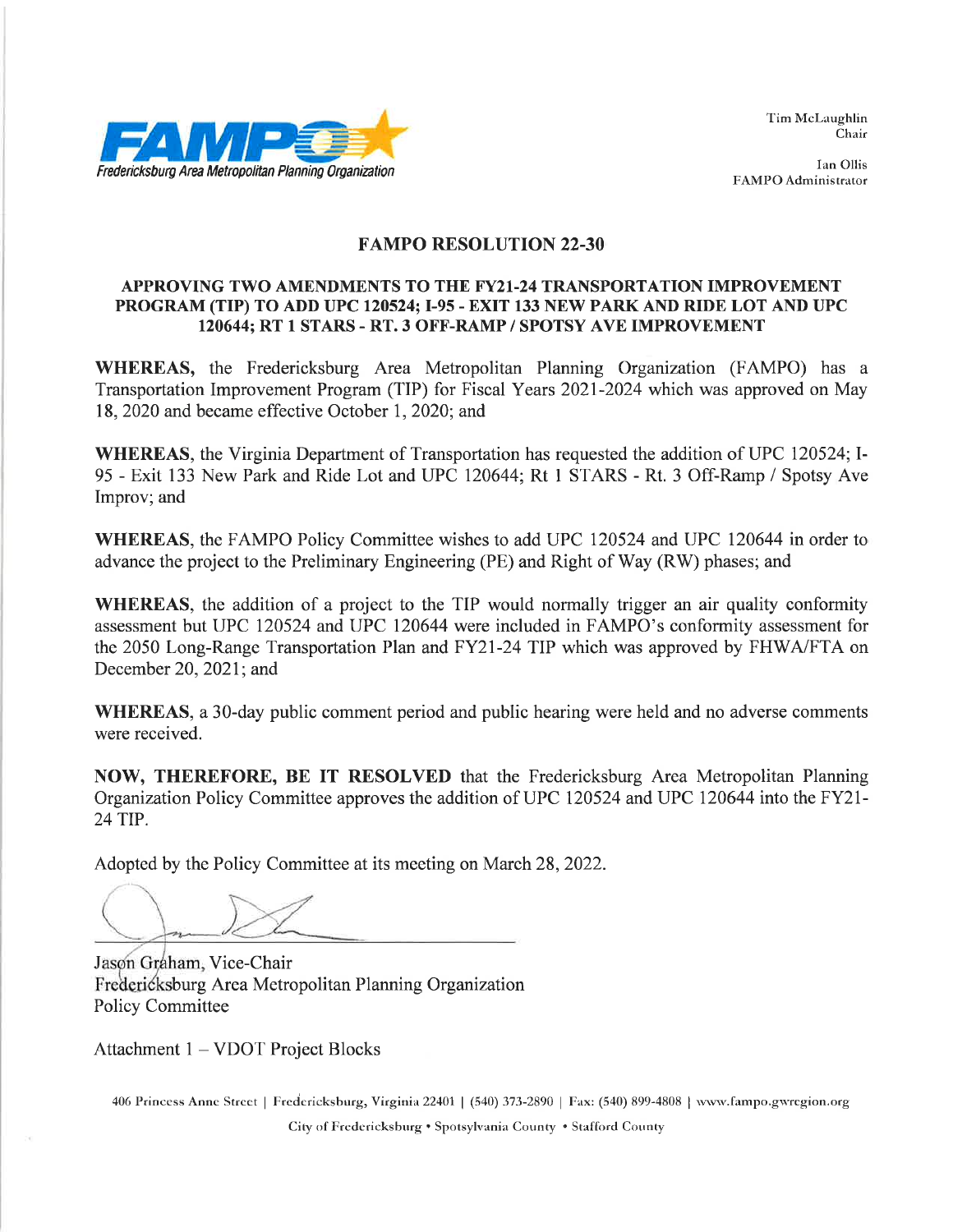

Tim McLaughlin Chair

Ian Ollis FAMPO Administrator

#### **FAMPO RESOLUTION 22-30**

#### APPROVING TWO AMENDMENTS TO THE FY21-24 TRANSPORTATION IMPROVEMENT PROGRAM (TIP) TO ADD UPC 120524; I-95 - EXIT 133 NEW PARK AND RIDE LOT AND UPC 120644; RT 1 STARS - RT. 3 OFF-RAMP / SPOTSY AVE IMPROVEMENT

WHEREAS, the Fredericksburg Area Metropolitan Planning Organization (FAMPO) has a Transportation Improvement Program (TIP) for Fiscal Years 2021-2024 which was approved on May 18, 2020 and became effective October 1, 2020; and

WHEREAS, the Virginia Department of Transportation has requested the addition of UPC 120524; I-95 - Exit 133 New Park and Ride Lot and UPC 120644; Rt 1 STARS - Rt. 3 Off-Ramp / Spotsy Ave Improv; and

WHEREAS, the FAMPO Policy Committee wishes to add UPC 120524 and UPC 120644 in order to advance the project to the Preliminary Engineering (PE) and Right of Way (RW) phases; and

**WHEREAS**, the addition of a project to the TIP would normally trigger an air quality conformity assessment but UPC 120524 and UPC 120644 were included in FAMPO's conformity assessment for the 2050 Long-Range Transportation Plan and FY21-24 TIP which was approved by FHWA/FTA on December 20, 2021; and

**WHEREAS**, a 30-day public comment period and public hearing were held and no adverse comments were received.

NOW, THEREFORE, BE IT RESOLVED that the Fredericksburg Area Metropolitan Planning Organization Policy Committee approves the addition of UPC 120524 and UPC 120644 into the FY21-24 TIP.

Adopted by the Policy Committee at its meeting on March 28, 2022.

Jason Graham, Vice-Chair Fredericksburg Area Metropolitan Planning Organization **Policy Committee** 

Attachment 1 – VDOT Project Blocks

406 Princess Anne Street | Fredericksburg, Virginia 22401 | (540) 373-2890 | Fax: (540) 899-4808 | www.fampo.gwregion.org City of Fredericksburg . Spotsylvania County . Stafford County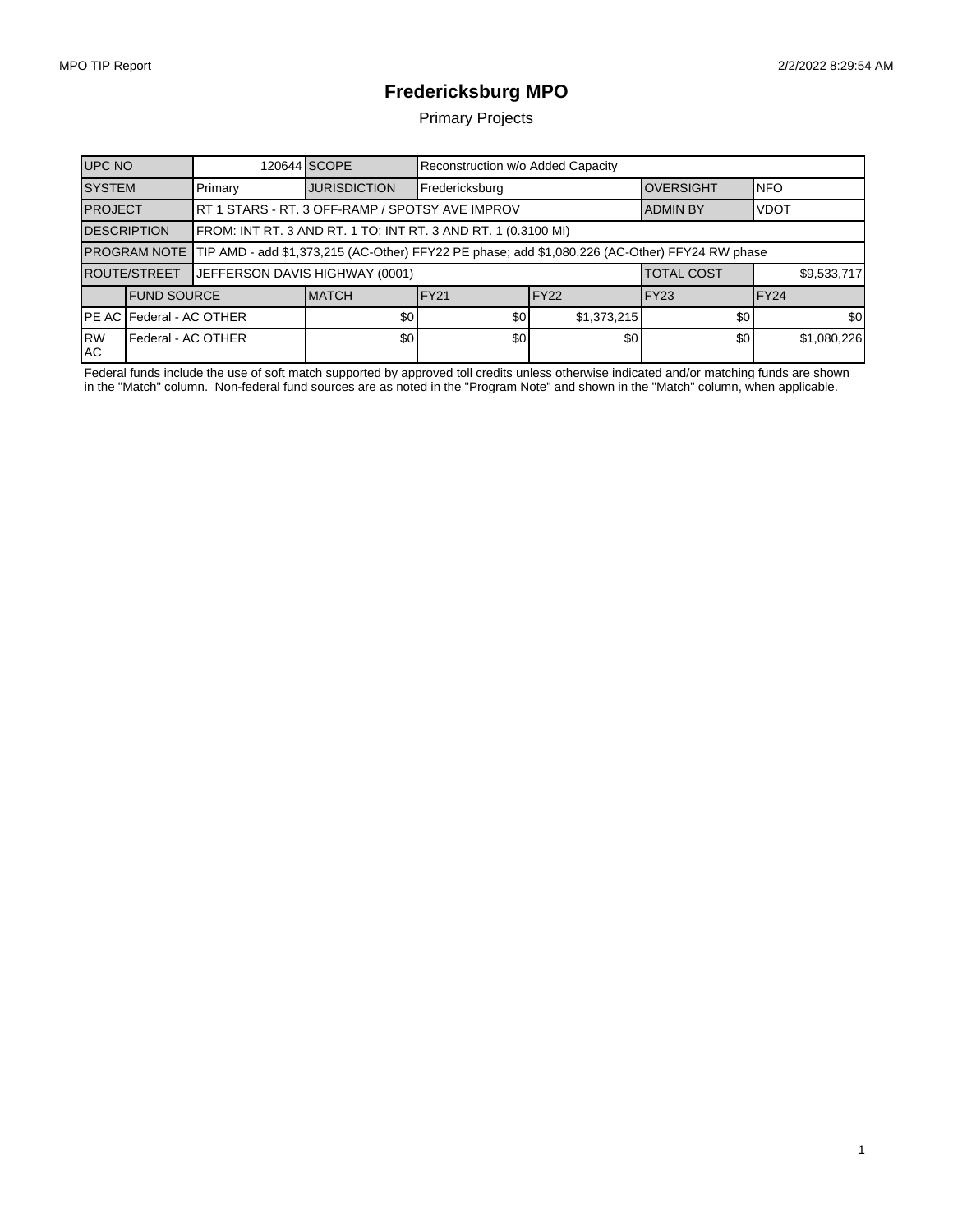1

## **Fredericksburg MPO**

Primary Projects

| <b>UPC NO</b>                   |                    |                                                                                                             | 120644 SCOPE        | Reconstruction w/o Added Capacity |                  |                   |             |  |  |
|---------------------------------|--------------------|-------------------------------------------------------------------------------------------------------------|---------------------|-----------------------------------|------------------|-------------------|-------------|--|--|
| <b>SYSTEM</b>                   |                    | Primary                                                                                                     | <b>JURISDICTION</b> | Fredericksburg                    |                  | <b>IOVERSIGHT</b> | <b>NFO</b>  |  |  |
| <b>PROJECT</b>                  |                    | RT 1 STARS - RT. 3 OFF-RAMP / SPOTSY AVE IMPROV                                                             |                     |                                   |                  | <b>ADMIN BY</b>   | <b>VDOT</b> |  |  |
| <b>DESCRIPTION</b>              |                    | FROM: INT RT. 3 AND RT. 1 TO: INT RT. 3 AND RT. 1 (0.3100 MI)                                               |                     |                                   |                  |                   |             |  |  |
|                                 |                    | PROGRAM NOTE TIP AMD - add \$1,373,215 (AC-Other) FFY22 PE phase; add \$1,080,226 (AC-Other) FFY24 RW phase |                     |                                   |                  |                   |             |  |  |
| <b>ROUTE/STREET</b>             |                    | JEFFERSON DAVIS HIGHWAY (0001)                                                                              |                     |                                   |                  | <b>TOTAL COST</b> | \$9,533,717 |  |  |
|                                 | <b>FUND SOURCE</b> |                                                                                                             | <b>IMATCH</b>       | IFY21                             | FY <sub>22</sub> | IFY23             | IFY24       |  |  |
| <b>PE AC Federal - AC OTHER</b> |                    | \$0 <sub>1</sub>                                                                                            | \$0                 | \$1,373,215                       | \$0              | \$0               |             |  |  |
| <b>RW</b><br>IAC.               | Federal - AC OTHER |                                                                                                             | \$0                 | \$0                               | \$0              | \$0               | \$1,080,226 |  |  |

Federal funds include the use of soft match supported by approved toll credits unless otherwise indicated and/or matching funds are shown in the "Match" column. Non-federal fund sources are as noted in the "Program Note" and shown in the "Match" column, when applicable.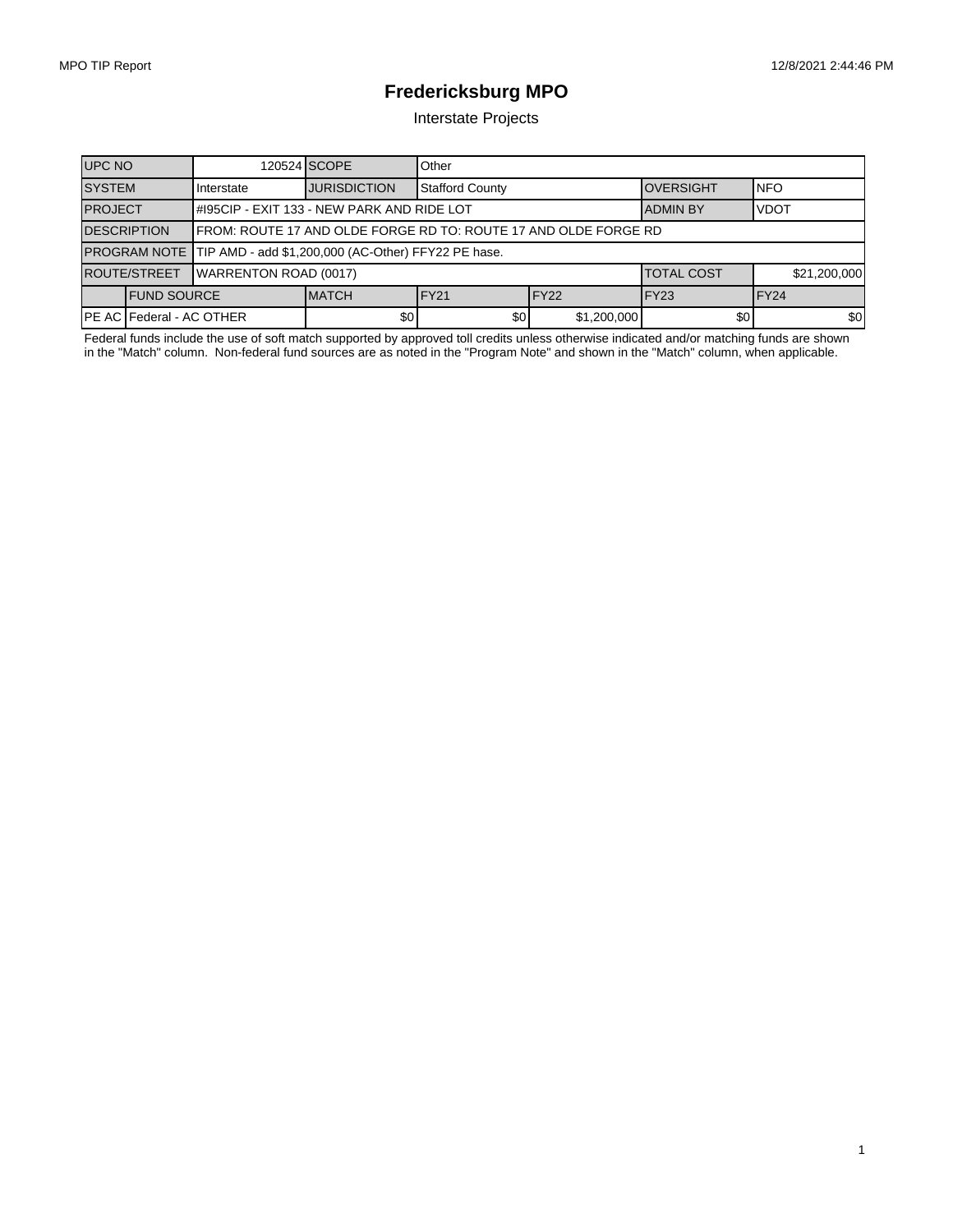1

# **Fredericksburg MPO**

Interstate Projects

| <b>UPC NO</b>                     |                     |                                                                  | 120524 SCOPE        | Other                  |                  |                  |                  |  |
|-----------------------------------|---------------------|------------------------------------------------------------------|---------------------|------------------------|------------------|------------------|------------------|--|
| <b>SYSTEM</b>                     |                     | Interstate                                                       | <b>JURISDICTION</b> | <b>Stafford County</b> |                  | <b>OVERSIGHT</b> | <b>INFO</b>      |  |
| <b>PROJECT</b>                    |                     | #195CIP - EXIT 133 - NEW PARK AND RIDE LOT                       |                     |                        |                  | <b>ADMIN BY</b>  | <b>VDOT</b>      |  |
| <b>DESCRIPTION</b>                |                     | IFROM: ROUTE 17 AND OLDE FORGE RD TO: ROUTE 17 AND OLDE FORGE RD |                     |                        |                  |                  |                  |  |
|                                   |                     | PROGRAM NOTE TIP AMD - add \$1,200,000 (AC-Other) FFY22 PE hase. |                     |                        |                  |                  |                  |  |
| <b>ROUTE/STREET</b>               |                     | <b>WARRENTON ROAD (0017)</b>                                     |                     | <b>ITOTAL COST</b>     | \$21,200,000     |                  |                  |  |
|                                   | <b>IFUND SOURCE</b> |                                                                  | <b>MATCH</b>        | IFY21                  | FY <sub>22</sub> | FY <sub>23</sub> | FY <sub>24</sub> |  |
| <b>IPE AC IFederal - AC OTHER</b> |                     | \$0 <sub>1</sub>                                                 | \$0                 | \$1,200,000            | \$0              | \$0              |                  |  |

Federal funds include the use of soft match supported by approved toll credits unless otherwise indicated and/or matching funds are shown in the "Match" column. Non-federal fund sources are as noted in the "Program Note" and shown in the "Match" column, when applicable.